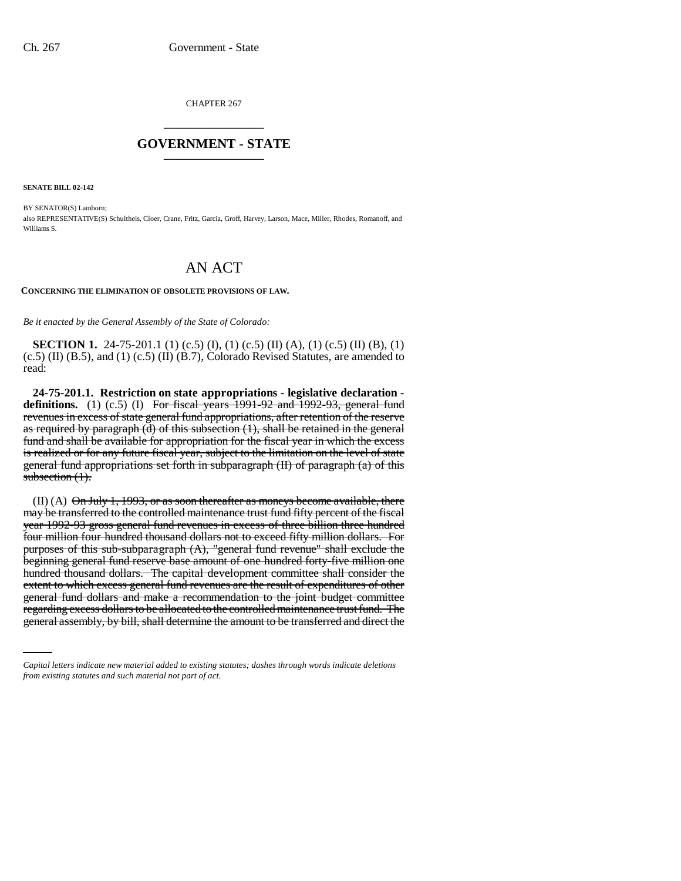CHAPTER 267 \_\_\_\_\_\_\_\_\_\_\_\_\_\_\_

## **GOVERNMENT - STATE** \_\_\_\_\_\_\_\_\_\_\_\_\_\_\_

**SENATE BILL 02-142**

BY SENATOR(S) Lamborn; also REPRESENTATIVE(S) Schultheis, Cloer, Crane, Fritz, Garcia, Groff, Harvey, Larson, Mace, Miller, Rhodes, Romanoff, and Williams S.

## AN ACT

## **CONCERNING THE ELIMINATION OF OBSOLETE PROVISIONS OF LAW.**

*Be it enacted by the General Assembly of the State of Colorado:*

**SECTION 1.** 24-75-201.1 (1) (c.5) (I), (1) (c.5) (II) (A), (1) (c.5) (II) (B), (1)  $(c.5)$  (II) (B.5), and (1) (c.5) (II) (B.7), Colorado Revised Statutes, are amended to read:

**24-75-201.1. Restriction on state appropriations - legislative declaration definitions.** (1) (c.5) (I) For fiscal years  $1991-92$  and  $1992-93$ , general fund revenues in excess of state general fund appropriations, after retention of the reserve as required by paragraph  $(d)$  of this subsection  $(1)$ , shall be retained in the general fund and shall be available for appropriation for the fiscal year in which the excess is realized or for any future fiscal year, subject to the limitation on the level of state general fund appropriations set forth in subparagraph (II) of paragraph (a) of this subsection  $(1)$ .

general fund dollars and make a recommendation to the joint budget committee  $(II)$  (A)  $\Theta$ n July 1, 1993, or as soon thereafter as moneys become available, there may be transferred to the controlled maintenance trust fund fifty percent of the fiscal year 1992-93 gross general fund revenues in excess of three billion three hundred four million four hundred thousand dollars not to exceed fifty million dollars. For purposes of this sub-subparagraph (A), "general fund revenue" shall exclude the beginning general fund reserve base amount of one hundred forty-five million one hundred thousand dollars. The capital development committee shall consider the extent to which excess general fund revenues are the result of expenditures of other regarding excess dollars to be allocated to the controlled maintenance trust fund. The general assembly, by bill, shall determine the amount to be transferred and direct the

*Capital letters indicate new material added to existing statutes; dashes through words indicate deletions from existing statutes and such material not part of act.*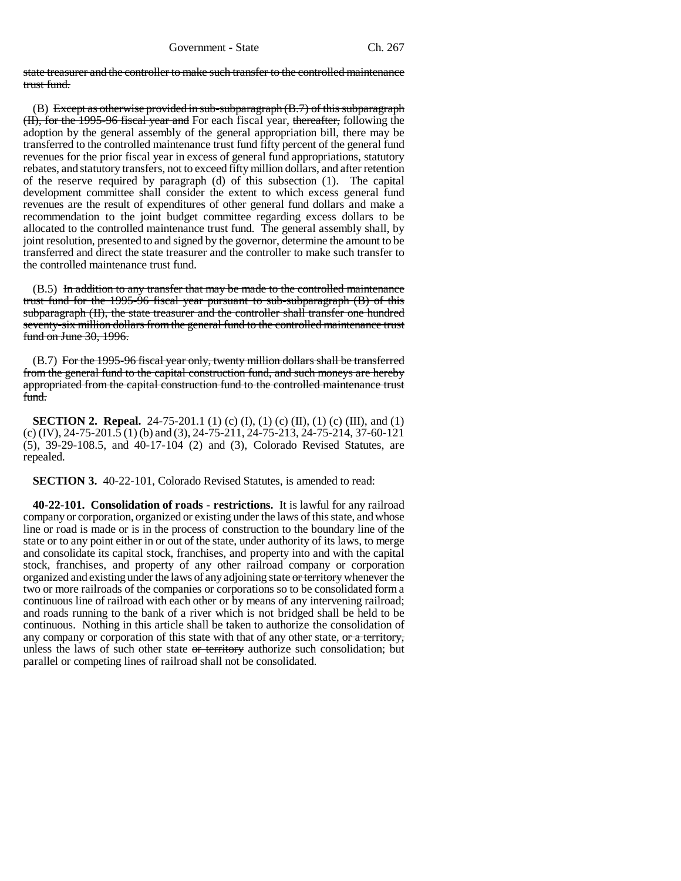state treasurer and the controller to make such transfer to the controlled maintenance trust fund.

(B) Except as otherwise provided in sub-subparagraph  $(B.7)$  of this subparagraph (II), for the 1995-96 fiscal year and For each fiscal year, thereafter, following the adoption by the general assembly of the general appropriation bill, there may be transferred to the controlled maintenance trust fund fifty percent of the general fund revenues for the prior fiscal year in excess of general fund appropriations, statutory rebates, and statutory transfers, not to exceed fifty million dollars, and after retention of the reserve required by paragraph (d) of this subsection (1). The capital development committee shall consider the extent to which excess general fund revenues are the result of expenditures of other general fund dollars and make a recommendation to the joint budget committee regarding excess dollars to be allocated to the controlled maintenance trust fund. The general assembly shall, by joint resolution, presented to and signed by the governor, determine the amount to be transferred and direct the state treasurer and the controller to make such transfer to the controlled maintenance trust fund.

 $(B.5)$  In addition to any transfer that may be made to the controlled maintenance trust fund for the 1995-96 fiscal year pursuant to sub-subparagraph (B) of this subparagraph (II), the state treasurer and the controller shall transfer one hundred seventy-six million dollars from the general fund to the controlled maintenance trust fund on June 30, 1996.

(B.7) For the 1995-96 fiscal year only, twenty million dollars shall be transferred from the general fund to the capital construction fund, and such moneys are hereby appropriated from the capital construction fund to the controlled maintenance trust fund.

**SECTION 2. Repeal.** 24-75-201.1 (1) (c) (I), (1) (c) (II), (1) (c) (III), and (1) (c) (IV), 24-75-201.5 (1) (b) and (3), 24-75-211, 24-75-213, 24-75-214, 37-60-121 (5), 39-29-108.5, and 40-17-104 (2) and (3), Colorado Revised Statutes, are repealed.

**SECTION 3.** 40-22-101, Colorado Revised Statutes, is amended to read:

**40-22-101. Consolidation of roads - restrictions.** It is lawful for any railroad company or corporation, organized or existing under the laws of this state, and whose line or road is made or is in the process of construction to the boundary line of the state or to any point either in or out of the state, under authority of its laws, to merge and consolidate its capital stock, franchises, and property into and with the capital stock, franchises, and property of any other railroad company or corporation organized and existing under the laws of any adjoining state or territory whenever the two or more railroads of the companies or corporations so to be consolidated form a continuous line of railroad with each other or by means of any intervening railroad; and roads running to the bank of a river which is not bridged shall be held to be continuous. Nothing in this article shall be taken to authorize the consolidation of any company or corporation of this state with that of any other state, or a territory, unless the laws of such other state or territory authorize such consolidation; but parallel or competing lines of railroad shall not be consolidated.